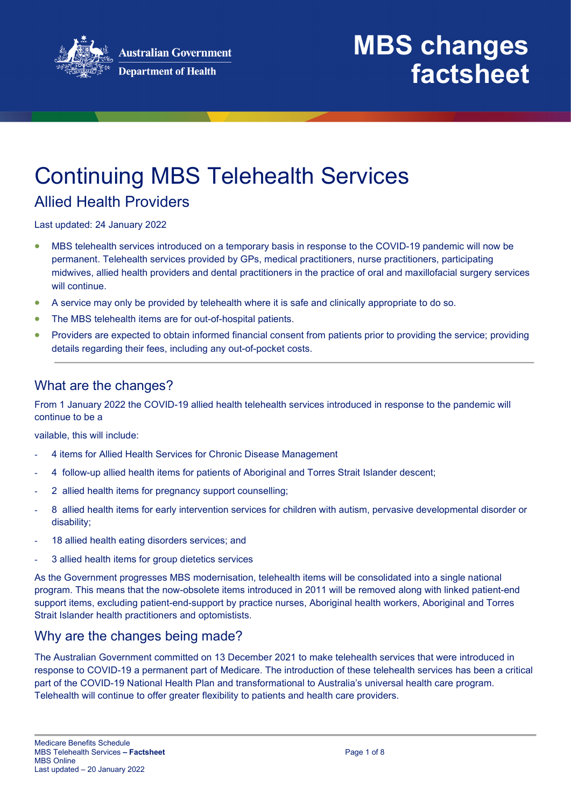

# Continuing MBS Telehealth Services

### Allied Health Providers

Last updated: 24 January 2022

- MBS telehealth services introduced on a temporary basis in response to the COVID-19 pandemic will now be permanent. Telehealth services provided by GPs, medical practitioners, nurse practitioners, participating midwives, allied health providers and dental practitioners in the practice of oral and maxillofacial surgery services will continue.
- A service may only be provided by telehealth where it is safe and clinically appropriate to do so.
- The MBS telehealth items are for out-of-hospital patients.
- Providers are expected to obtain informed financial consent from patients prior to providing the service; providing details regarding their fees, including any out-of-pocket costs.

#### What are the changes?

From 1 January 2022 the COVID-19 allied health telehealth services introduced in response to the pandemic will continue to be a

vailable, this will include:

- 4 items for Allied Health Services for Chronic Disease Management
- 4 follow-up allied health items for patients of Aboriginal and Torres Strait Islander descent;
- 2 allied health items for pregnancy support counselling;
- 8 allied health items for early intervention services for children with autism, pervasive developmental disorder or disability;
- 18 allied health eating disorders services; and
- 3 allied health items for group dietetics services

As the Government progresses MBS modernisation, telehealth items will be consolidated into a single national program. This means that the now-obsolete items introduced in 2011 will be removed along with linked patient-end support items, excluding patient-end-support by practice nurses, Aboriginal health workers, Aboriginal and Torres Strait Islander health practitioners and optomistists.

#### Why are the changes being made?

The Australian Government committed on 13 December 2021 to make telehealth services that were introduced in response to COVID-19 a permanent part of Medicare. The introduction of these telehealth services has been a critical part of the COVID-19 National Health Plan and transformational to Australia's universal health care program. Telehealth will continue to offer greater flexibility to patients and health care providers.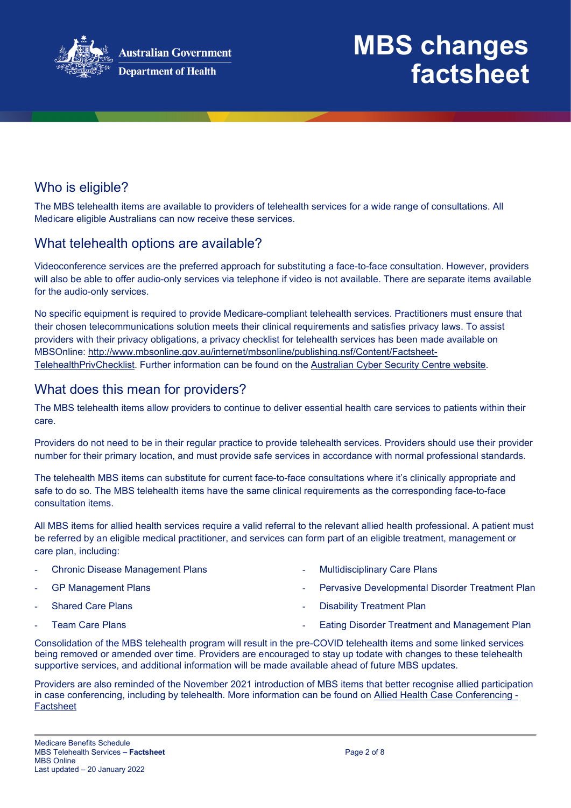

### Who is eligible?

The MBS telehealth items are available to providers of telehealth services for a wide range of consultations. All Medicare eligible Australians can now receive these services.

### What telehealth options are available?

Videoconference services are the preferred approach for substituting a face-to-face consultation. However, providers will also be able to offer audio-only services via telephone if video is not available. There are separate items available for the audio-only services.

No specific equipment is required to provide Medicare-compliant telehealth services. Practitioners must ensure that their chosen telecommunications solution meets their clinical requirements and satisfies privacy laws. To assist providers with their privacy obligations, a privacy checklist for telehealth services has been made available on MBSOnline: [http://www.mbsonline.gov.au/internet/mbsonline/publishing.nsf/Content/Factsheet-](http://www.mbsonline.gov.au/internet/mbsonline/publishing.nsf/Content/Factsheet-TelehealthPrivChecklist)[TelehealthPrivChecklist.](http://www.mbsonline.gov.au/internet/mbsonline/publishing.nsf/Content/Factsheet-TelehealthPrivChecklist) Further information can be found on the [Australian Cyber Security Centre website.](https://www.cyber.gov.au/)

### What does this mean for providers?

The MBS telehealth items allow providers to continue to deliver essential health care services to patients within their care.

Providers do not need to be in their regular practice to provide telehealth services. Providers should use their provider number for their primary location, and must provide safe services in accordance with normal professional standards.

The telehealth MBS items can substitute for current face-to-face consultations where it's clinically appropriate and safe to do so. The MBS telehealth items have the same clinical requirements as the corresponding face-to-face consultation items.

All MBS items for allied health services require a valid referral to the relevant allied health professional. A patient must be referred by an eligible medical practitioner, and services can form part of an eligible treatment, management or care plan, including:

**Chronic Disease Management Plans** GP Management Plans Shared Care Plans Team Care Plans Multidisciplinary Care Plans Pervasive Developmental Disorder Treatment Plan Disability Treatment Plan Eating Disorder Treatment and Management Plan

Consolidation of the MBS telehealth program will result in the pre-COVID telehealth items and some linked services being removed or amended over time. Providers are encouraged to stay up todate with changes to these telehealth supportive services, and additional information will be made available ahead of future MBS updates.

Providers are also reminded of the November 2021 introduction of MBS items that better recognise allied participation in case conferencing, including by telehealth. More information can be found on [Allied Health Case Conferencing -](http://www.mbsonline.gov.au/internet/mbsonline/publishing.nsf/Content/Factsheet-AHCC) [Factsheet](http://www.mbsonline.gov.au/internet/mbsonline/publishing.nsf/Content/Factsheet-AHCC)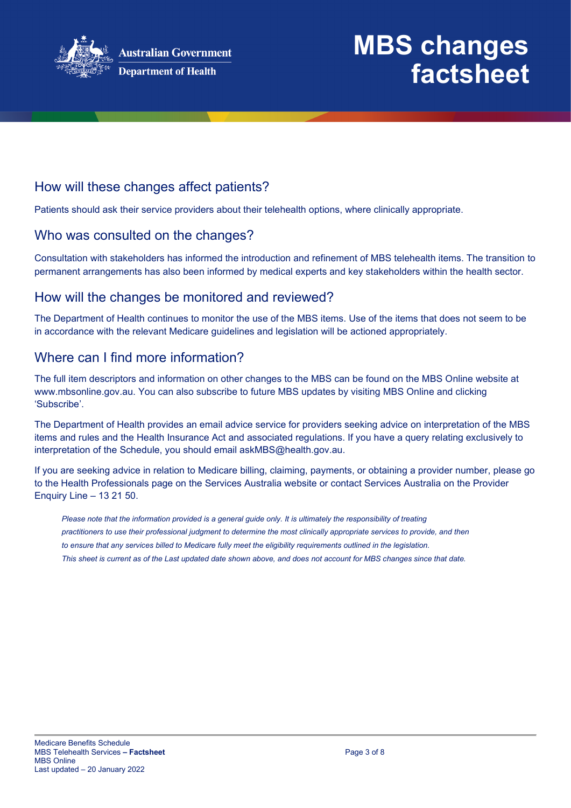

### How will these changes affect patients?

Patients should ask their service providers about their telehealth options, where clinically appropriate.

#### Who was consulted on the changes?

Consultation with stakeholders has informed the introduction and refinement of MBS telehealth items. The transition to permanent arrangements has also been informed by medical experts and key stakeholders within the health sector.

#### How will the changes be monitored and reviewed?

The Department of Health continues to monitor the use of the MBS items. Use of the items that does not seem to be in accordance with the relevant Medicare guidelines and legislation will be actioned appropriately.

### Where can I find more information?

The full item descriptors and information on other changes to the MBS can be found on the MBS Online website at [www.mbsonline.gov.au.](http://www.mbsonline.gov.au/) You can also subscribe to future MBS updates by visiting [MBS Online](http://www.mbsonline.gov.au/) and clicking 'Subscribe'.

The Department of Health provides an email advice service for providers seeking advice on interpretation of the MBS items and rules and the Health Insurance Act and associated regulations. If you have a query relating exclusively to interpretation of the Schedule, you should email [askMBS@health.gov.au.](mailto:askMBS@health.gov.au)

If you are seeking advice in relation to Medicare billing, claiming, payments, or obtaining a provider number, please go to the Health Professionals page on the Services Australia website or contact Services Australia on the Provider Enquiry Line – 13 21 50.

*Please note that the information provided is a general guide only. It is ultimately the responsibility of treating practitioners to use their professional judgment to determine the most clinically appropriate services to provide, and then to ensure that any services billed to Medicare fully meet the eligibility requirements outlined in the legislation. This sheet is current as of the Last updated date shown above, and does not account for MBS changes since that date.*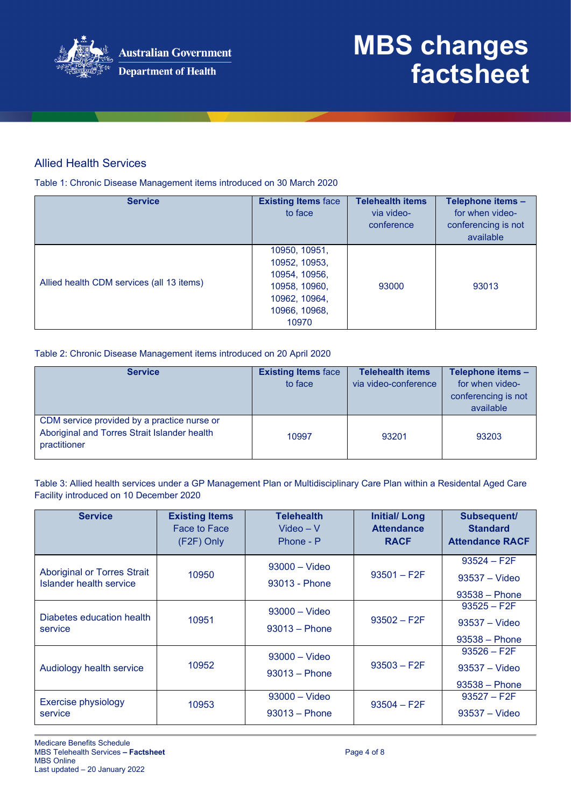

#### Allied Health Services

Table 1: Chronic Disease Management items introduced on 30 March 2020

| <b>Service</b>                            | <b>Existing Items face</b><br>to face                                                                       | <b>Telehealth items</b><br>via video-<br>conference | Telephone items -<br>for when video-<br>conferencing is not<br>available |
|-------------------------------------------|-------------------------------------------------------------------------------------------------------------|-----------------------------------------------------|--------------------------------------------------------------------------|
| Allied health CDM services (all 13 items) | 10950, 10951,<br>10952, 10953,<br>10954, 10956,<br>10958, 10960,<br>10962, 10964,<br>10966, 10968,<br>10970 | 93000                                               | 93013                                                                    |

#### Table 2: Chronic Disease Management items introduced on 20 April 2020

| <b>Service</b>                                                                                              | <b>Existing Items face</b><br>to face | <b>Telehealth items</b><br>via video-conference | Telephone items -<br>for when video-<br>conferencing is not<br>available |
|-------------------------------------------------------------------------------------------------------------|---------------------------------------|-------------------------------------------------|--------------------------------------------------------------------------|
| CDM service provided by a practice nurse or<br>Aboriginal and Torres Strait Islander health<br>practitioner | 10997                                 | 93201                                           | 93203                                                                    |

Table 3: Allied health services under a GP Management Plan or Multidisciplinary Care Plan within a Residental Aged Care Facility introduced on 10 December 2020

| <b>Service</b>                                                       | <b>Existing Items</b><br>Face to Face<br>(F2F) Only | <b>Telehealth</b><br>$Video - V$<br>Phone - P | <b>Initial/Long</b><br><b>Attendance</b><br><b>RACF</b> | Subsequent/<br><b>Standard</b><br><b>Attendance RACF</b> |
|----------------------------------------------------------------------|-----------------------------------------------------|-----------------------------------------------|---------------------------------------------------------|----------------------------------------------------------|
| <b>Aboriginal or Torres Strait</b><br><b>Islander health service</b> | 10950                                               | $93000 - Video$<br>93013 - Phone              | $93501 - F2F$                                           | $93524 - F2F$<br>$93537 - Video$<br>$93538 - Phone$      |
| Diabetes education health<br>service                                 | 10951                                               | $93000 - Video$<br>$93013 - Phone$            | $93502 - F2F$                                           | $93525 - F2F$<br>$93537 - Video$<br>$93538 - Phone$      |
| Audiology health service                                             | 10952                                               | $93000 - Video$<br>$93013 - Phone$            | $93503 - F2F$                                           | $93526 - F2F$<br>$93537 - Video$<br>$93538 - Phone$      |
| <b>Exercise physiology</b><br>service                                | 10953                                               | $93000 -$ Video<br>$93013 - Phone$            | $93504 - F2F$                                           | $93527 - F2F$<br>$93537 - Video$                         |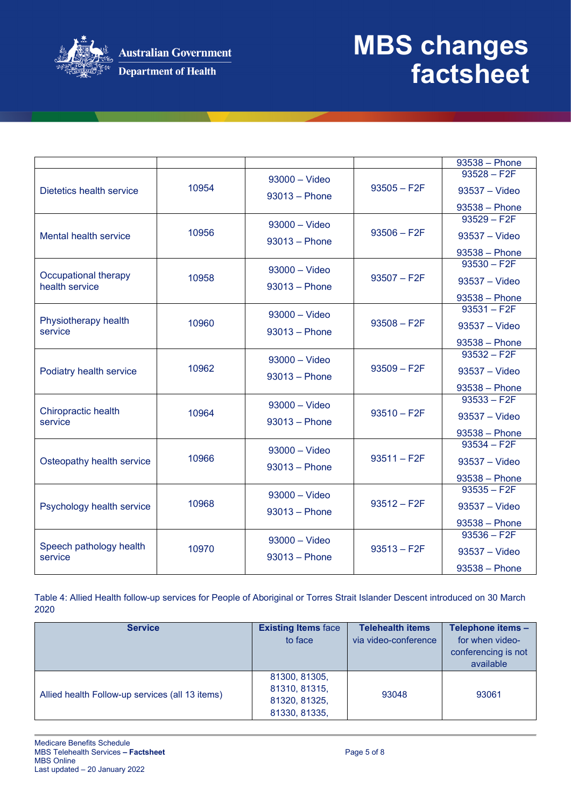

|                                        |       |                 |               | 93538 - Phone                    |
|----------------------------------------|-------|-----------------|---------------|----------------------------------|
|                                        |       | $93000 - Video$ |               | $93528 - F2F$                    |
| Dietetics health service               | 10954 | $93013 - Phone$ | $93505 - F2F$ | 93537 - Video                    |
|                                        |       |                 |               | $93538 - Phone$                  |
|                                        |       | $93000 - Video$ |               | $93529 - F2F$                    |
| Mental health service                  | 10956 | $93013 - Phone$ | $93506 - F2F$ | $93537 - Video$                  |
|                                        |       |                 |               | $93538 - Phone$                  |
|                                        |       | $93000 - Video$ |               | $93530 - F2F$                    |
| Occupational therapy<br>health service | 10958 | $93013 - Phone$ | $93507 - F2F$ | $93537 - Video$                  |
|                                        |       |                 |               | 93538 - Phone                    |
|                                        |       | $93000 -$ Video |               | $93531 - F2F$                    |
| Physiotherapy health<br>service        | 10960 | $93013 - Phone$ | $93508 - F2F$ | 93537 - Video                    |
|                                        |       |                 |               | $93538 - Phone$                  |
|                                        |       | $93000 - Video$ |               | $93532 - F2F$                    |
| Podiatry health service                | 10962 | $93013 - Phone$ | $93509 - F2F$ | $93537 - Video$                  |
|                                        |       |                 |               | $93538 - Phone$                  |
|                                        |       | $93000 -$ Video |               | $93533 - F2F$                    |
| Chiropractic health                    | 10964 |                 | $93510 - F2F$ | 93537 - Video                    |
| service                                |       | $93013 - Phone$ |               |                                  |
|                                        |       |                 |               | $93538 - Phone$<br>$93534 - F2F$ |
|                                        | 10966 | $93000 - Video$ | $93511 - F2F$ |                                  |
| Osteopathy health service              |       | $93013 - Phone$ |               | 93537 - Video                    |
|                                        |       |                 |               | $93538 - Phone$                  |
|                                        |       | 93000 - Video   |               | $93535 - F2F$                    |
| Psychology health service              | 10968 | $93013 - Phone$ | $93512 - F2F$ | 93537 - Video                    |
|                                        |       |                 |               | $93538 - Phone$                  |
|                                        |       | $93000 - Video$ |               | $93536 - F2F$                    |
| Speech pathology health<br>service     | 10970 | $93013 - Phone$ | $93513 - F2F$ | 93537 - Video                    |
|                                        |       |                 |               | $93538 - Phone$                  |

Table 4: Allied Health follow-up services for People of Aboriginal or Torres Strait Islander Descent introduced on 30 March 2020

| <b>Service</b>                                  | <b>Existing Items face</b><br>to face                            | <b>Telehealth items</b><br>via video-conference | Telephone items -<br>for when video-<br>conferencing is not<br>available |
|-------------------------------------------------|------------------------------------------------------------------|-------------------------------------------------|--------------------------------------------------------------------------|
| Allied health Follow-up services (all 13 items) | 81300, 81305,<br>81310, 81315,<br>81320, 81325,<br>81330, 81335, | 93048                                           | 93061                                                                    |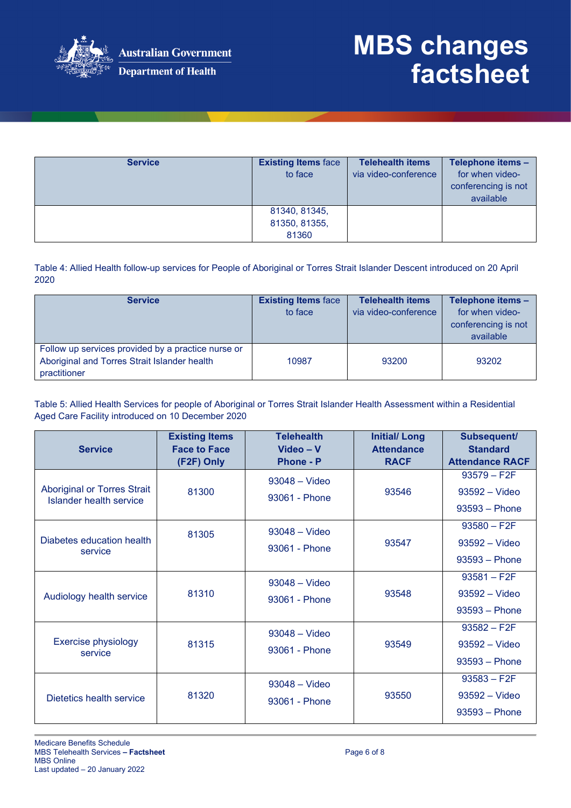

| <b>Service</b> | <b>Existing Items face</b><br>to face | <b>Telehealth items</b><br>via video-conference | Telephone items -<br>for when video-<br>conferencing is not<br>available |
|----------------|---------------------------------------|-------------------------------------------------|--------------------------------------------------------------------------|
|                | 81340, 81345,<br>81350, 81355,        |                                                 |                                                                          |
|                | 81360                                 |                                                 |                                                                          |

Table 4: Allied Health follow-up services for People of Aboriginal or Torres Strait Islander Descent introduced on 20 April 2020

| <b>Service</b>                                                                                                     | <b>Existing Items face</b><br>to face | <b>Telehealth items</b><br>via video-conference | Telephone items -<br>for when video-<br>conferencing is not<br>available |
|--------------------------------------------------------------------------------------------------------------------|---------------------------------------|-------------------------------------------------|--------------------------------------------------------------------------|
| Follow up services provided by a practice nurse or<br>Aboriginal and Torres Strait Islander health<br>practitioner | 10987                                 | 93200                                           | 93202                                                                    |

Table 5: Allied Health Services for people of Aboriginal or Torres Strait Islander Health Assessment within a Residential Aged Care Facility introduced on 10 December 2020

| <b>Service</b>                                                       | <b>Existing Items</b><br><b>Face to Face</b> | <b>Telehealth</b><br>Video - V<br><b>Phone - P</b> | <b>Initial/Long</b><br><b>Attendance</b><br><b>RACF</b> | Subsequent/<br><b>Standard</b><br><b>Attendance RACF</b> |
|----------------------------------------------------------------------|----------------------------------------------|----------------------------------------------------|---------------------------------------------------------|----------------------------------------------------------|
| <b>Aboriginal or Torres Strait</b><br><b>Islander health service</b> | (F2F) Only<br>81300                          | $93048 - Video$<br>93061 - Phone                   | 93546                                                   | $93579 - F2F$<br>93592 - Video<br>$93593 - Phone$        |
| Diabetes education health<br>service                                 | 81305                                        | $93048 - Video$<br>93061 - Phone                   | 93547                                                   | $93580 - F2F$<br>93592 - Video<br>$93593 - Phone$        |
| Audiology health service                                             | 81310                                        | $93048 - Video$<br>93061 - Phone                   | 93548                                                   | $93581 - F2F$<br>$93592 - Video$<br>$93593 - Phone$      |
| Exercise physiology<br>service                                       | 81315                                        | $93048 - Video$<br>93061 - Phone                   | 93549                                                   | $93582 - F2F$<br>93592 - Video<br>$93593 - Phone$        |
| Dietetics health service                                             | 81320                                        | $93048 - Video$<br>93061 - Phone                   | 93550                                                   | $93583 - F2F$<br>$93592 - Video$<br>$93593 - Phone$      |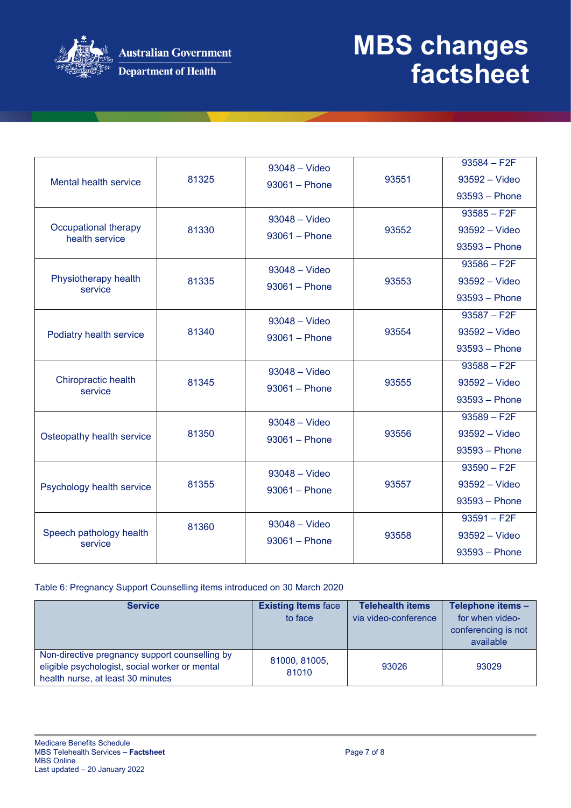

| Mental health service                  | 81325 | $93048 - Video$<br>$93061 - Phone$ | 93551 | $93584 - F2F$<br>$93592 - Video$<br>$93593 - Phone$<br>$93585 - F2F$ |
|----------------------------------------|-------|------------------------------------|-------|----------------------------------------------------------------------|
| Occupational therapy<br>health service | 81330 | $93048 - Video$<br>$93061 - Phone$ | 93552 | 93592 - Video<br>$93593 - Phone$                                     |
| Physiotherapy health<br>service        | 81335 | $93048 - Video$<br>$93061 - Phone$ | 93553 | $93586 - F2F$<br>93592 - Video<br>$93593 - Phone$                    |
| Podiatry health service                | 81340 | 93048 - Video<br>$93061 - Phone$   | 93554 | $93587 - F2F$<br>$93592 - Video$<br>$93593 - Phone$                  |
| Chiropractic health<br>service         | 81345 | $93048 - Video$<br>$93061 - Phone$ | 93555 | $93588 - F2F$<br>$93592 - Video$<br>$93593 - Phone$                  |
| Osteopathy health service              | 81350 | $93048 - Video$<br>$93061 - Phone$ | 93556 | $93589 - F2F$<br>93592 - Video<br>$93593 - Phone$                    |
| Psychology health service              | 81355 | $93048 - Video$<br>$93061 - Phone$ | 93557 | $93590 - F2F$<br>$93592 - Video$<br>$93593 - Phone$                  |
| Speech pathology health<br>service     | 81360 | 93048 - Video<br>$93061 - Phone$   | 93558 | $93591 - F2F$<br>$93592 - Video$<br>$93593 - Phone$                  |

#### Table 6: Pregnancy Support Counselling items introduced on 30 March 2020

| <b>Service</b>                                                                                                                        | <b>Existing Items face</b><br>to face | <b>Telehealth items</b><br>via video-conference | Telephone items -<br>for when video-<br>conferencing is not<br>available |
|---------------------------------------------------------------------------------------------------------------------------------------|---------------------------------------|-------------------------------------------------|--------------------------------------------------------------------------|
| Non-directive pregnancy support counselling by<br>eligible psychologist, social worker or mental<br>health nurse, at least 30 minutes | 81000, 81005,<br>81010                | 93026                                           | 93029                                                                    |